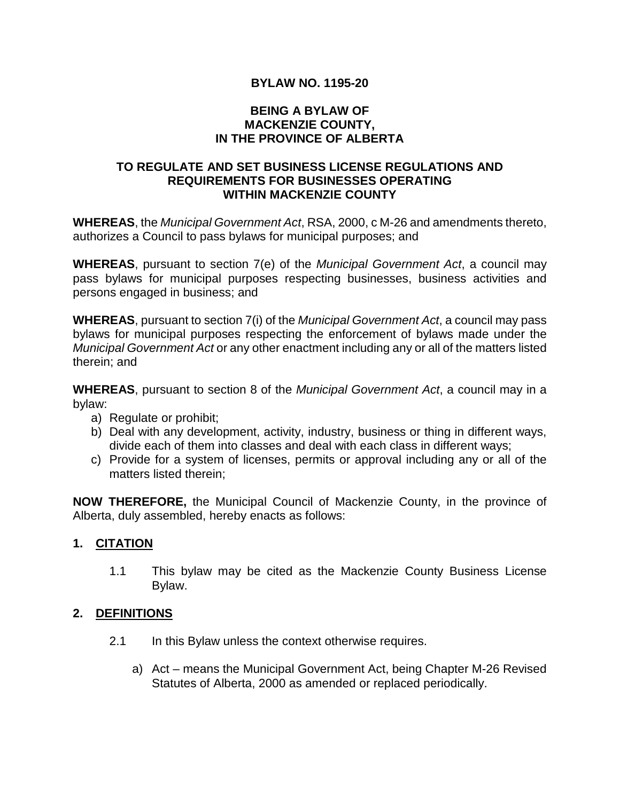# **BYLAW NO. 1195-20**

#### **BEING A BYLAW OF MACKENZIE COUNTY, IN THE PROVINCE OF ALBERTA**

### **TO REGULATE AND SET BUSINESS LICENSE REGULATIONS AND REQUIREMENTS FOR BUSINESSES OPERATING WITHIN MACKENZIE COUNTY**

**WHEREAS**, the *Municipal Government Act*, RSA, 2000, c M-26 and amendments thereto, authorizes a Council to pass bylaws for municipal purposes; and

**WHEREAS**, pursuant to section 7(e) of the *Municipal Government Act*, a council may pass bylaws for municipal purposes respecting businesses, business activities and persons engaged in business; and

**WHEREAS**, pursuant to section 7(i) of the *Municipal Government Act*, a council may pass bylaws for municipal purposes respecting the enforcement of bylaws made under the *Municipal Government Act* or any other enactment including any or all of the matters listed therein; and

**WHEREAS**, pursuant to section 8 of the *Municipal Government Act*, a council may in a bylaw:

- a) Regulate or prohibit;
- b) Deal with any development, activity, industry, business or thing in different ways, divide each of them into classes and deal with each class in different ways;
- c) Provide for a system of licenses, permits or approval including any or all of the matters listed therein;

**NOW THEREFORE,** the Municipal Council of Mackenzie County, in the province of Alberta, duly assembled, hereby enacts as follows:

### **1. CITATION**

1.1 This bylaw may be cited as the Mackenzie County Business License Bylaw.

### **2. DEFINITIONS**

- 2.1 In this Bylaw unless the context otherwise requires.
	- a) Act means the Municipal Government Act, being Chapter M-26 Revised Statutes of Alberta, 2000 as amended or replaced periodically.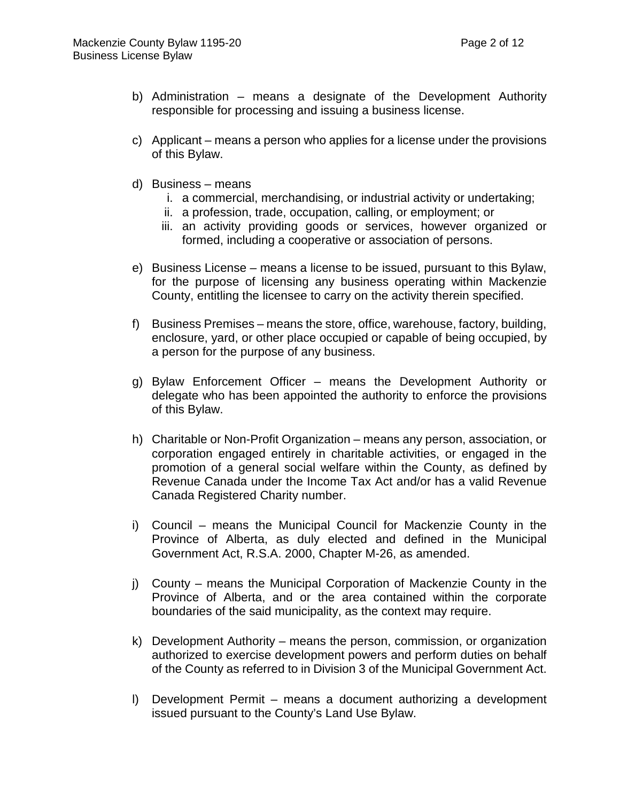- b) Administration means a designate of the Development Authority responsible for processing and issuing a business license.
- c) Applicant means a person who applies for a license under the provisions of this Bylaw.
- d) Business means
	- i. a commercial, merchandising, or industrial activity or undertaking;
	- ii. a profession, trade, occupation, calling, or employment; or
	- iii. an activity providing goods or services, however organized or formed, including a cooperative or association of persons.
- e) Business License means a license to be issued, pursuant to this Bylaw, for the purpose of licensing any business operating within Mackenzie County, entitling the licensee to carry on the activity therein specified.
- f) Business Premises means the store, office, warehouse, factory, building, enclosure, yard, or other place occupied or capable of being occupied, by a person for the purpose of any business.
- g) Bylaw Enforcement Officer means the Development Authority or delegate who has been appointed the authority to enforce the provisions of this Bylaw.
- h) Charitable or Non-Profit Organization means any person, association, or corporation engaged entirely in charitable activities, or engaged in the promotion of a general social welfare within the County, as defined by Revenue Canada under the Income Tax Act and/or has a valid Revenue Canada Registered Charity number.
- i) Council means the Municipal Council for Mackenzie County in the Province of Alberta, as duly elected and defined in the Municipal Government Act, R.S.A. 2000, Chapter M-26, as amended.
- j) County means the Municipal Corporation of Mackenzie County in the Province of Alberta, and or the area contained within the corporate boundaries of the said municipality, as the context may require.
- k) Development Authority means the person, commission, or organization authorized to exercise development powers and perform duties on behalf of the County as referred to in Division 3 of the Municipal Government Act.
- l) Development Permit means a document authorizing a development issued pursuant to the County's Land Use Bylaw.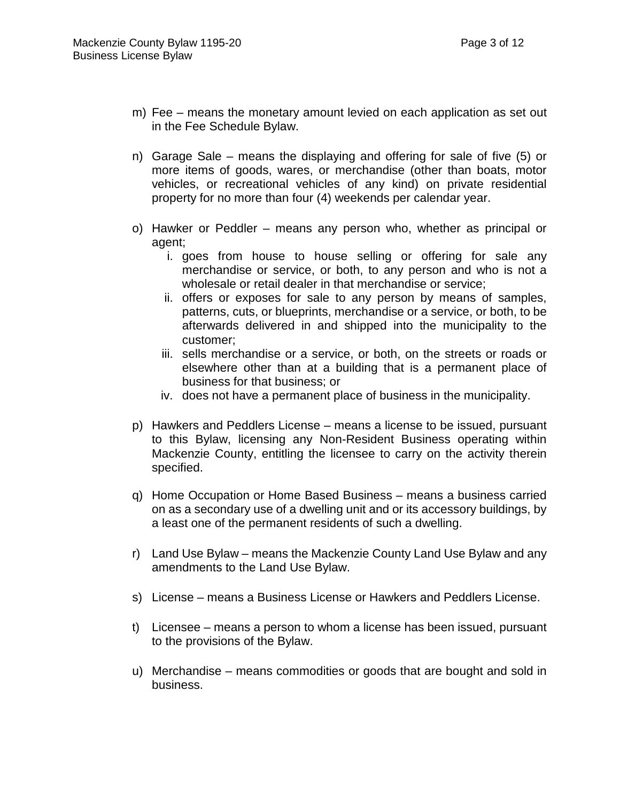- m) Fee means the monetary amount levied on each application as set out in the Fee Schedule Bylaw.
- n) Garage Sale means the displaying and offering for sale of five (5) or more items of goods, wares, or merchandise (other than boats, motor vehicles, or recreational vehicles of any kind) on private residential property for no more than four (4) weekends per calendar year.
- o) Hawker or Peddler means any person who, whether as principal or agent;
	- i. goes from house to house selling or offering for sale any merchandise or service, or both, to any person and who is not a wholesale or retail dealer in that merchandise or service;
	- ii. offers or exposes for sale to any person by means of samples, patterns, cuts, or blueprints, merchandise or a service, or both, to be afterwards delivered in and shipped into the municipality to the customer;
	- iii. sells merchandise or a service, or both, on the streets or roads or elsewhere other than at a building that is a permanent place of business for that business; or
	- iv. does not have a permanent place of business in the municipality.
- p) Hawkers and Peddlers License means a license to be issued, pursuant to this Bylaw, licensing any Non-Resident Business operating within Mackenzie County, entitling the licensee to carry on the activity therein specified.
- q) Home Occupation or Home Based Business means a business carried on as a secondary use of a dwelling unit and or its accessory buildings, by a least one of the permanent residents of such a dwelling.
- r) Land Use Bylaw means the Mackenzie County Land Use Bylaw and any amendments to the Land Use Bylaw.
- s) License means a Business License or Hawkers and Peddlers License.
- t) Licensee means a person to whom a license has been issued, pursuant to the provisions of the Bylaw.
- u) Merchandise means commodities or goods that are bought and sold in business.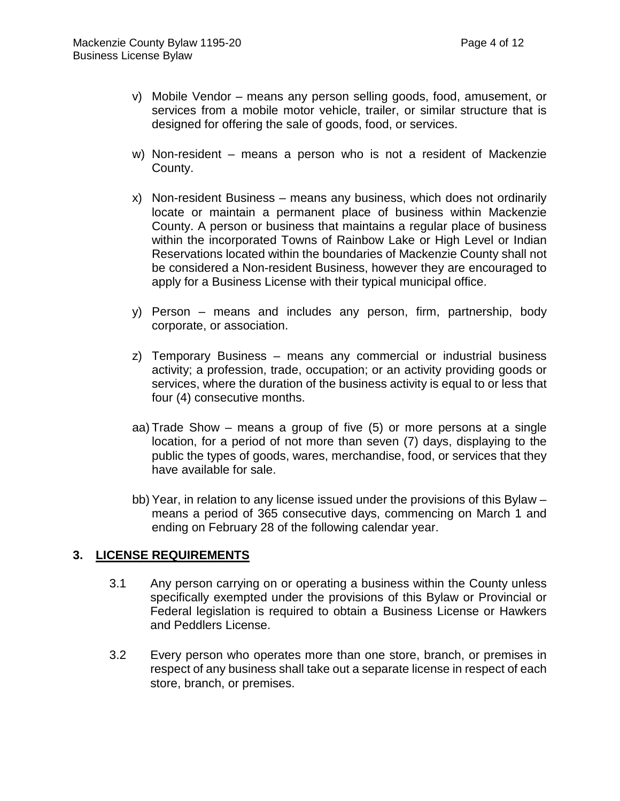- v) Mobile Vendor means any person selling goods, food, amusement, or services from a mobile motor vehicle, trailer, or similar structure that is designed for offering the sale of goods, food, or services.
- w) Non-resident means a person who is not a resident of Mackenzie County.
- x) Non-resident Business means any business, which does not ordinarily locate or maintain a permanent place of business within Mackenzie County. A person or business that maintains a regular place of business within the incorporated Towns of Rainbow Lake or High Level or Indian Reservations located within the boundaries of Mackenzie County shall not be considered a Non-resident Business, however they are encouraged to apply for a Business License with their typical municipal office.
- y) Person means and includes any person, firm, partnership, body corporate, or association.
- z) Temporary Business means any commercial or industrial business activity; a profession, trade, occupation; or an activity providing goods or services, where the duration of the business activity is equal to or less that four (4) consecutive months.
- aa) Trade Show means a group of five (5) or more persons at a single location, for a period of not more than seven (7) days, displaying to the public the types of goods, wares, merchandise, food, or services that they have available for sale.
- bb) Year, in relation to any license issued under the provisions of this Bylaw means a period of 365 consecutive days, commencing on March 1 and ending on February 28 of the following calendar year.

### **3. LICENSE REQUIREMENTS**

- 3.1 Any person carrying on or operating a business within the County unless specifically exempted under the provisions of this Bylaw or Provincial or Federal legislation is required to obtain a Business License or Hawkers and Peddlers License.
- 3.2 Every person who operates more than one store, branch, or premises in respect of any business shall take out a separate license in respect of each store, branch, or premises.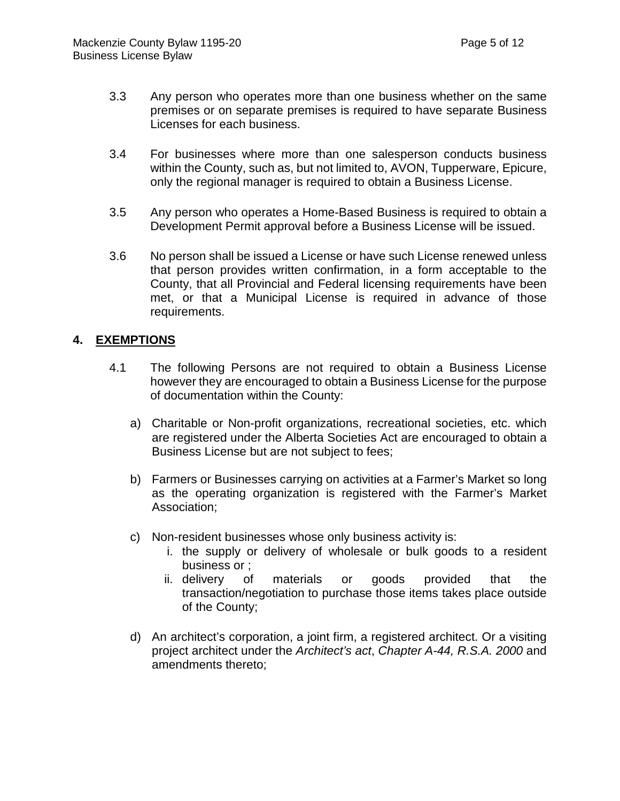- 3.3 Any person who operates more than one business whether on the same premises or on separate premises is required to have separate Business Licenses for each business.
- 3.4 For businesses where more than one salesperson conducts business within the County, such as, but not limited to, AVON, Tupperware, Epicure, only the regional manager is required to obtain a Business License.
- 3.5 Any person who operates a Home-Based Business is required to obtain a Development Permit approval before a Business License will be issued.
- 3.6 No person shall be issued a License or have such License renewed unless that person provides written confirmation, in a form acceptable to the County, that all Provincial and Federal licensing requirements have been met, or that a Municipal License is required in advance of those requirements.

# **4. EXEMPTIONS**

- 4.1 The following Persons are not required to obtain a Business License however they are encouraged to obtain a Business License for the purpose of documentation within the County:
	- a) Charitable or Non-profit organizations, recreational societies, etc. which are registered under the Alberta Societies Act are encouraged to obtain a Business License but are not subject to fees;
	- b) Farmers or Businesses carrying on activities at a Farmer's Market so long as the operating organization is registered with the Farmer's Market Association;
	- c) Non-resident businesses whose only business activity is:
		- i. the supply or delivery of wholesale or bulk goods to a resident business or ;
		- ii. delivery of materials or goods provided that the transaction/negotiation to purchase those items takes place outside of the County;
	- d) An architect's corporation, a joint firm, a registered architect. Or a visiting project architect under the *Architect's act*, *Chapter A-44, R.S.A. 2000* and amendments thereto;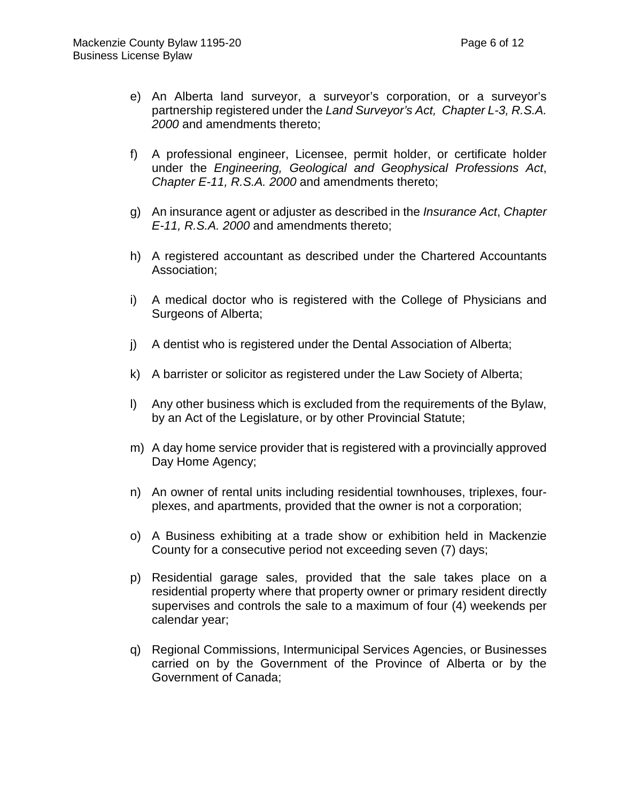- e) An Alberta land surveyor, a surveyor's corporation, or a surveyor's partnership registered under the *Land Surveyor's Act, Chapter L-3, R.S.A. 2000* and amendments thereto;
- f) A professional engineer, Licensee, permit holder, or certificate holder under the *Engineering, Geological and Geophysical Professions Act*, *Chapter E-11, R.S.A. 2000* and amendments thereto;
- g) An insurance agent or adjuster as described in the *Insurance Act*, *Chapter E-11, R.S.A. 2000* and amendments thereto;
- h) A registered accountant as described under the Chartered Accountants Association;
- i) A medical doctor who is registered with the College of Physicians and Surgeons of Alberta;
- j) A dentist who is registered under the Dental Association of Alberta;
- k) A barrister or solicitor as registered under the Law Society of Alberta;
- l) Any other business which is excluded from the requirements of the Bylaw, by an Act of the Legislature, or by other Provincial Statute;
- m) A day home service provider that is registered with a provincially approved Day Home Agency;
- n) An owner of rental units including residential townhouses, triplexes, fourplexes, and apartments, provided that the owner is not a corporation;
- o) A Business exhibiting at a trade show or exhibition held in Mackenzie County for a consecutive period not exceeding seven (7) days;
- p) Residential garage sales, provided that the sale takes place on a residential property where that property owner or primary resident directly supervises and controls the sale to a maximum of four (4) weekends per calendar year;
- q) Regional Commissions, Intermunicipal Services Agencies, or Businesses carried on by the Government of the Province of Alberta or by the Government of Canada;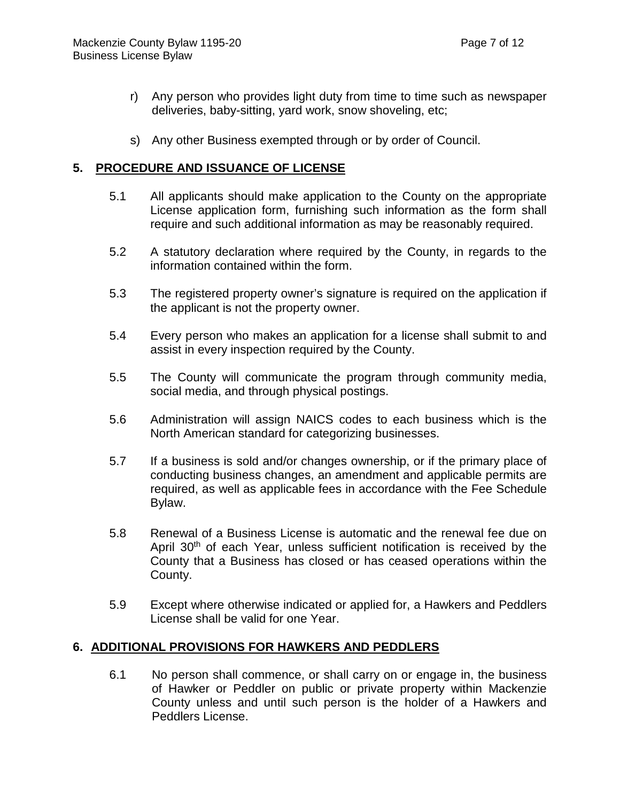- r) Any person who provides light duty from time to time such as newspaper deliveries, baby-sitting, yard work, snow shoveling, etc;
- s) Any other Business exempted through or by order of Council.

### **5. PROCEDURE AND ISSUANCE OF LICENSE**

- 5.1 All applicants should make application to the County on the appropriate License application form, furnishing such information as the form shall require and such additional information as may be reasonably required.
- 5.2 A statutory declaration where required by the County, in regards to the information contained within the form.
- 5.3 The registered property owner's signature is required on the application if the applicant is not the property owner.
- 5.4 Every person who makes an application for a license shall submit to and assist in every inspection required by the County.
- 5.5 The County will communicate the program through community media, social media, and through physical postings.
- 5.6 Administration will assign NAICS codes to each business which is the North American standard for categorizing businesses.
- 5.7 If a business is sold and/or changes ownership, or if the primary place of conducting business changes, an amendment and applicable permits are required, as well as applicable fees in accordance with the Fee Schedule Bylaw.
- 5.8 Renewal of a Business License is automatic and the renewal fee due on April 30<sup>th</sup> of each Year, unless sufficient notification is received by the County that a Business has closed or has ceased operations within the County.
- 5.9 Except where otherwise indicated or applied for, a Hawkers and Peddlers License shall be valid for one Year.

# **6. ADDITIONAL PROVISIONS FOR HAWKERS AND PEDDLERS**

6.1 No person shall commence, or shall carry on or engage in, the business of Hawker or Peddler on public or private property within Mackenzie County unless and until such person is the holder of a Hawkers and Peddlers License.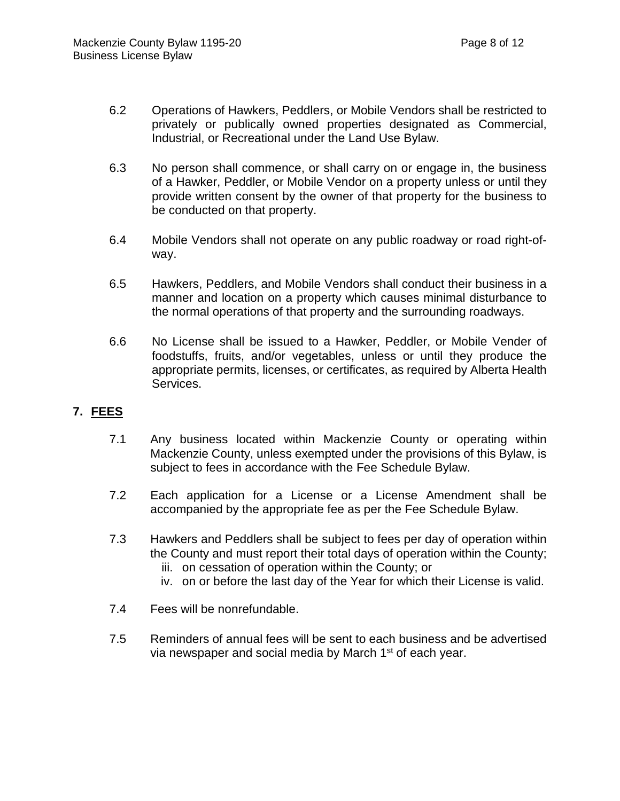- 6.2 Operations of Hawkers, Peddlers, or Mobile Vendors shall be restricted to privately or publically owned properties designated as Commercial, Industrial, or Recreational under the Land Use Bylaw.
- 6.3 No person shall commence, or shall carry on or engage in, the business of a Hawker, Peddler, or Mobile Vendor on a property unless or until they provide written consent by the owner of that property for the business to be conducted on that property.
- 6.4 Mobile Vendors shall not operate on any public roadway or road right-ofway.
- 6.5 Hawkers, Peddlers, and Mobile Vendors shall conduct their business in a manner and location on a property which causes minimal disturbance to the normal operations of that property and the surrounding roadways.
- 6.6 No License shall be issued to a Hawker, Peddler, or Mobile Vender of foodstuffs, fruits, and/or vegetables, unless or until they produce the appropriate permits, licenses, or certificates, as required by Alberta Health Services.

### **7. FEES**

- 7.1 Any business located within Mackenzie County or operating within Mackenzie County, unless exempted under the provisions of this Bylaw, is subject to fees in accordance with the Fee Schedule Bylaw.
- 7.2 Each application for a License or a License Amendment shall be accompanied by the appropriate fee as per the Fee Schedule Bylaw.
- 7.3 Hawkers and Peddlers shall be subject to fees per day of operation within the County and must report their total days of operation within the County; iii. on cessation of operation within the County; or
	- iv. on or before the last day of the Year for which their License is valid.
- 7.4 Fees will be nonrefundable.
- 7.5 Reminders of annual fees will be sent to each business and be advertised via newspaper and social media by March 1<sup>st</sup> of each year.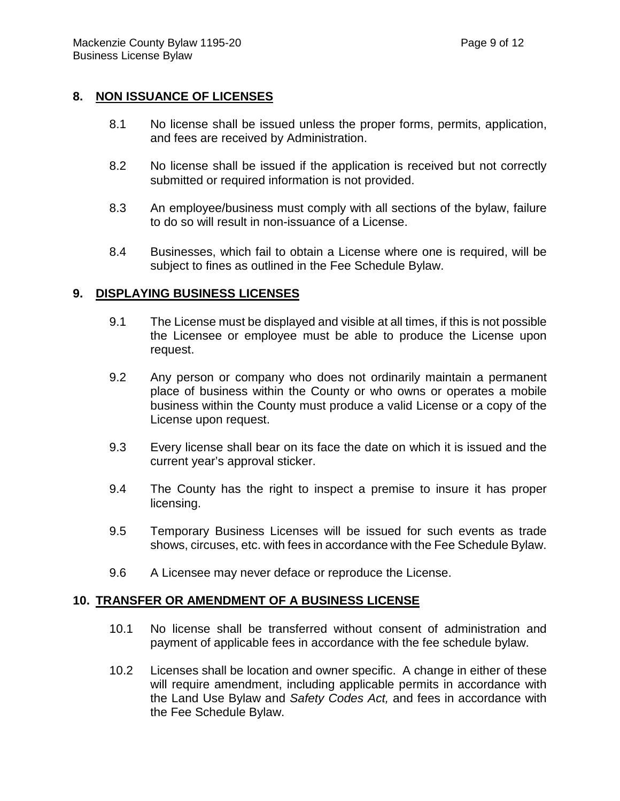### **8. NON ISSUANCE OF LICENSES**

- 8.1 No license shall be issued unless the proper forms, permits, application, and fees are received by Administration.
- 8.2 No license shall be issued if the application is received but not correctly submitted or required information is not provided.
- 8.3 An employee/business must comply with all sections of the bylaw, failure to do so will result in non-issuance of a License.
- 8.4 Businesses, which fail to obtain a License where one is required, will be subject to fines as outlined in the Fee Schedule Bylaw.

### **9. DISPLAYING BUSINESS LICENSES**

- 9.1 The License must be displayed and visible at all times, if this is not possible the Licensee or employee must be able to produce the License upon request.
- 9.2 Any person or company who does not ordinarily maintain a permanent place of business within the County or who owns or operates a mobile business within the County must produce a valid License or a copy of the License upon request.
- 9.3 Every license shall bear on its face the date on which it is issued and the current year's approval sticker.
- 9.4 The County has the right to inspect a premise to insure it has proper licensing.
- 9.5 Temporary Business Licenses will be issued for such events as trade shows, circuses, etc. with fees in accordance with the Fee Schedule Bylaw.
- 9.6 A Licensee may never deface or reproduce the License.

#### **10. TRANSFER OR AMENDMENT OF A BUSINESS LICENSE**

- 10.1 No license shall be transferred without consent of administration and payment of applicable fees in accordance with the fee schedule bylaw.
- 10.2 Licenses shall be location and owner specific. A change in either of these will require amendment, including applicable permits in accordance with the Land Use Bylaw and *Safety Codes Act,* and fees in accordance with the Fee Schedule Bylaw.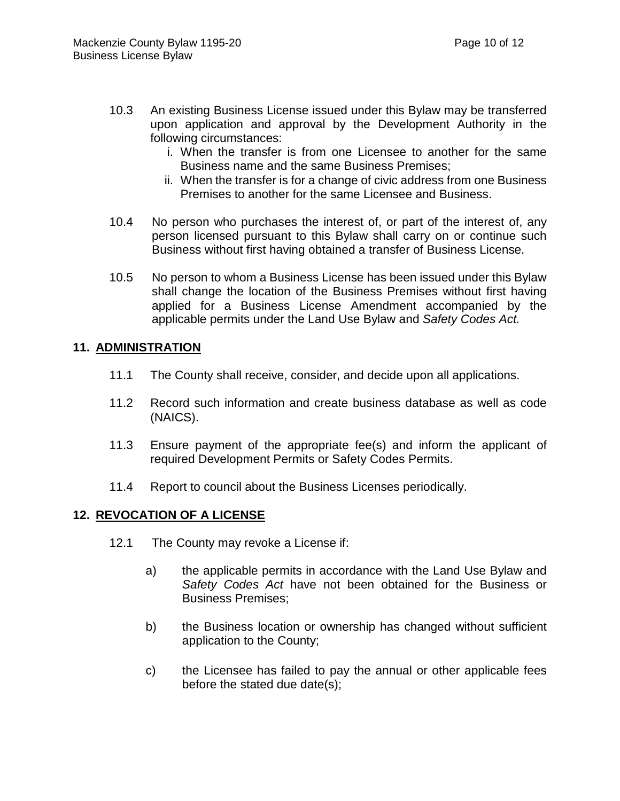- 10.3 An existing Business License issued under this Bylaw may be transferred upon application and approval by the Development Authority in the following circumstances:
	- i. When the transfer is from one Licensee to another for the same Business name and the same Business Premises;
	- ii. When the transfer is for a change of civic address from one Business Premises to another for the same Licensee and Business.
- 10.4 No person who purchases the interest of, or part of the interest of, any person licensed pursuant to this Bylaw shall carry on or continue such Business without first having obtained a transfer of Business License.
- 10.5 No person to whom a Business License has been issued under this Bylaw shall change the location of the Business Premises without first having applied for a Business License Amendment accompanied by the applicable permits under the Land Use Bylaw and *Safety Codes Act.*

### **11. ADMINISTRATION**

- 11.1 The County shall receive, consider, and decide upon all applications.
- 11.2 Record such information and create business database as well as code (NAICS).
- 11.3 Ensure payment of the appropriate fee(s) and inform the applicant of required Development Permits or Safety Codes Permits.
- 11.4 Report to council about the Business Licenses periodically.

# **12. REVOCATION OF A LICENSE**

- 12.1 The County may revoke a License if:
	- a) the applicable permits in accordance with the Land Use Bylaw and *Safety Codes Act* have not been obtained for the Business or Business Premises;
	- b) the Business location or ownership has changed without sufficient application to the County;
	- c) the Licensee has failed to pay the annual or other applicable fees before the stated due date(s);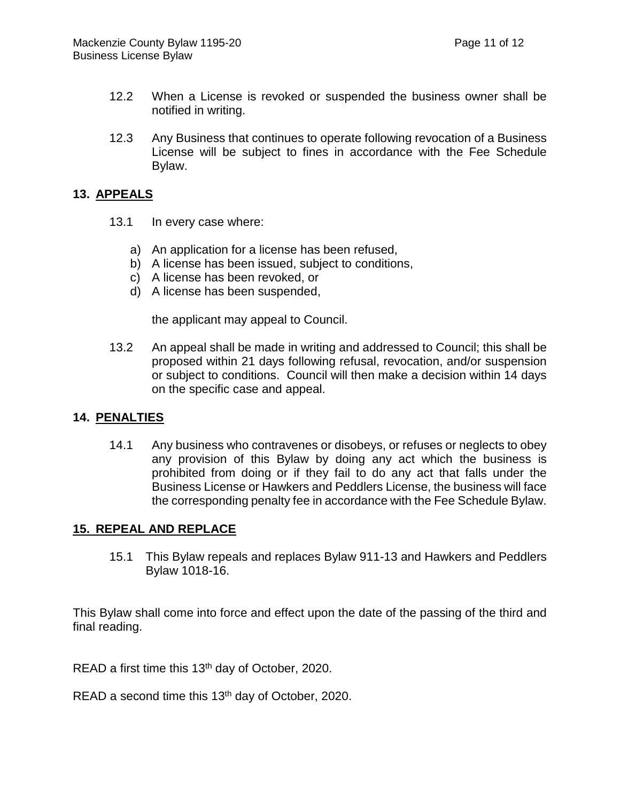- 12.2 When a License is revoked or suspended the business owner shall be notified in writing.
- 12.3 Any Business that continues to operate following revocation of a Business License will be subject to fines in accordance with the Fee Schedule Bylaw.

### **13. APPEALS**

- 13.1 In every case where:
	- a) An application for a license has been refused,
	- b) A license has been issued, subject to conditions,
	- c) A license has been revoked, or
	- d) A license has been suspended,

the applicant may appeal to Council.

13.2 An appeal shall be made in writing and addressed to Council; this shall be proposed within 21 days following refusal, revocation, and/or suspension or subject to conditions. Council will then make a decision within 14 days on the specific case and appeal.

#### **14. PENALTIES**

14.1 Any business who contravenes or disobeys, or refuses or neglects to obey any provision of this Bylaw by doing any act which the business is prohibited from doing or if they fail to do any act that falls under the Business License or Hawkers and Peddlers License, the business will face the corresponding penalty fee in accordance with the Fee Schedule Bylaw.

#### **15. REPEAL AND REPLACE**

15.1 This Bylaw repeals and replaces Bylaw 911-13 and Hawkers and Peddlers Bylaw 1018-16.

This Bylaw shall come into force and effect upon the date of the passing of the third and final reading.

READ a first time this 13<sup>th</sup> day of October, 2020.

READ a second time this 13<sup>th</sup> day of October, 2020.